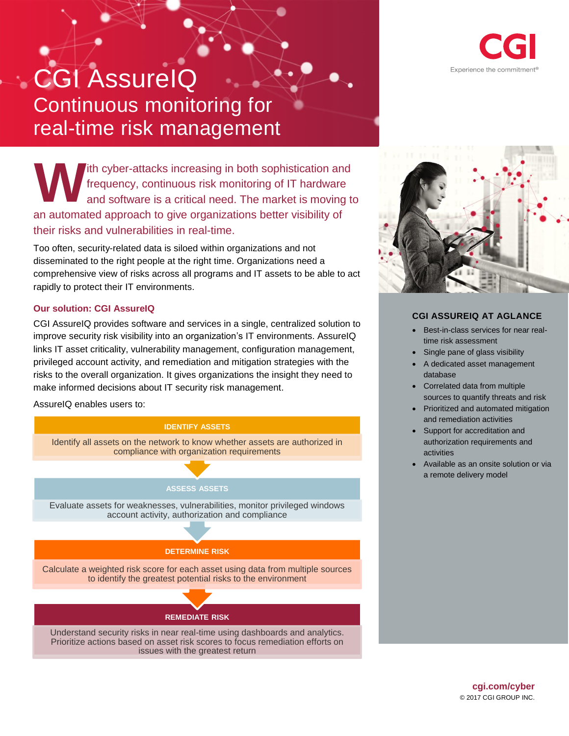

# CGI AssureIQ Continuous monitoring for real-time risk management

ith cyber-attacks increasing in both sophistication and frequency, continuous risk monitoring of IT hardware and software is a critical need. The market is moving to an automated approach to give organizations better visibility of their risks and vulnerabilities in real-time. **W**

Too often, security-related data is siloed within organizations and not disseminated to the right people at the right time. Organizations need a comprehensive view of risks across all programs and IT assets to be able to act rapidly to protect their IT environments.

# **Our solution: CGI AssureIQ**

CGI AssureIQ provides software and services in a single, centralized solution to improve security risk visibility into an organization's IT environments. AssureIQ links IT asset criticality, vulnerability management, configuration management, privileged account activity, and remediation and mitigation strategies with the risks to the overall organization. It gives organizations the insight they need to make informed decisions about IT security risk management.







# **CGI ASSUREIQ AT AGLANCE**

- Best-in-class services for near realtime risk assessment
- Single pane of glass visibility
- A dedicated asset management database
- Correlated data from multiple sources to quantify threats and risk
- Prioritized and automated mitigation and remediation activities
- Support for accreditation and authorization requirements and activities
- Available as an onsite solution or via a remote delivery model